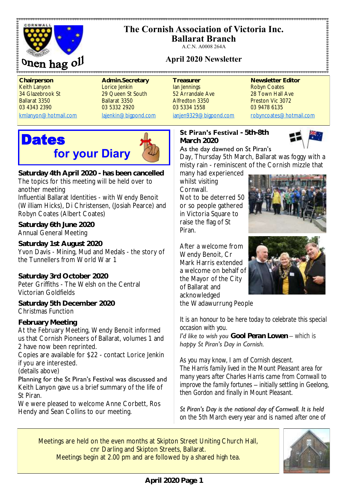

# **The Cornish Association of Victoria Inc.**

**Ballarat Branch** A.C.N. A0008 264A

# **April 2020 Newsletter**

**Chairperson <b>Admin.Secretary** Treasurer Newsletter Editor Keith Lanyon **Lorice Jenkin** Ian Jennings **Robyn Coates** Robyn Coates 34 Glazebrook St 29 Queen St South 52 Arrandale Ave 28 Town Hall Ave Ballarat 3350 Ballarat 3350 Alfredton 3350 Preston Vic 3072 03 4343 2390 03 5332 2920 03 5334 1558 03 9478 6135

[kmlanyon@hotmail.com](mailto:kmlanyon@hotmail.com) [lajenkin@bigpond.com](mailto:lajenkin@bigpond.com) [ianjen9329@bigpond.com](mailto:ianjen9329@bigpond.com) [robyncoates@hotmail.com](mailto:robynjcoates@iinet.net.au)

**Dates for your Diary**



**Saturday 4th April 2020 - has been cancelled** The topics for this meeting will be held over to another meeting

Influential Ballarat Identities - with Wendy Benoit (William Hicks), Di Christensen, (Josiah Pearce) and Robyn Coates (Albert Coates)

**Saturday 6th June 2020** Annual General Meeting

**Saturday 1st August 2020** Yvon Davis - Mining, Mud and Medals - the story of the Tunnellers from World War 1

**Saturday 3rd October 2020** Peter Griffiths - The Welsh on the Central Victorian Goldfields

**Saturday 5th December 2020** Christmas Function

**February Meeting** At the February Meeting, Wendy Benoit informed us that Cornish Pioneers of Ballarat, volumes 1 and 2 have now been reprinted.

Copies are available for \$22 - contact Lorice Jenkin if you are interested.

(details above)

Planning for the St Piran's Festival was discussed and Keith Lanyon gave us a brief summary of the life of St Piran.

We were pleased to welcome Anne Corbett, Ros Hendy and Sean Collins to our meeting.

**St Piran's Festival - 5th-8th March 2020**



.......................

As the day dawned on St Piran's

Day, Thursday 5th March, Ballarat was foggy with a misty rain - reminiscent of the Cornish mizzle that

many had experienced whilst visiting **Cornwall** Not to be deterred 50 or so people gathered in Victoria Square to raise the flag of St Piran.

After a welcome from Wendy Benoit, Cr Mark Harris extended a welcome on behalf of the Mayor of the City of Ballarat and acknowledged the Wadawurrung People





*It is an honour to be here today to celebrate this special occasion with you.*

*I'd like to wish you Gool Peran Lowen – which is happy St Piran's Day in Cornish.*

*As you may know, I am of Cornish descent. The Harris family lived in the Mount Pleasant area for many years after Charles Harris came from Cornwall to improve the family fortunes – initially settling in Geelong, then Gordon and finally in Mount Pleasant.*

*St Piran's Day is the national day of Cornwall. It is held on the 5th March every year and is named after one of* 

Meetings are held on the even months at Skipton Street Uniting Church Hall, cnr Darling and Skipton Streets, Ballarat. Meetings begin at 2.00 pm and are followed by a shared high tea.

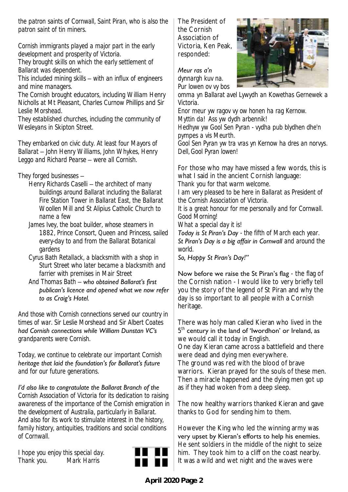*the patron saints of Cornwall, Saint Piran, who is also the patron saint of tin miners.*

*Cornish immigrants played a major part in the early development and prosperity of Victoria.* 

*They brought skills on which the early settlement of Ballarat was dependent.* 

*This included mining skills – with an influx of engineers and mine managers.*

*The Cornish brought educators, including William Henry Nicholls at Mt Pleasant, Charles Curnow Phillips and Sir Leslie Morshead.*

*They established churches, including the community of Wesleyans in Skipton Street.*

*They embarked on civic duty. At least four Mayors of Ballarat – John Henry Williams, John Whykes, Henry Leggo and Richard Pearse – were all Cornish.*

## *They forged businesses –*

- *Henry Richards Caselli – the architect of many buildings around Ballarat including the Ballarat Fire Station Tower in Ballarat East, the Ballarat Woollen Mill and St Alipius Catholic Church to name a few*
- *James Ivey, the boat builder, whose steamers in 1882, Prince Consort, Queen and Princess, sailed every-day to and from the Ballarat Botanical gardens*
- *Cyrus Bath Retallack, a blacksmith with a shop in Sturt Street who later became a blacksmith and farrier with premises in Mair Street*
- *And Thomas Bath – who obtained Ballarat's first publican's licence and opened what we now refer to as Craig's Hotel.*

*And those with Cornish connections served our country in times of war. Sir Leslie Morshead and Sir Albert Coates had Cornish connections while William Dunstan VC's grandparents were Cornish.*

*Today, we continue to celebrate our important Cornish heritage that laid the foundation's for Ballarat's future and for our future generations.*

*I'd also like to congratulate the Ballarat Branch of the Cornish Association of Victoria for its dedication to raising awareness of the importance of the Cornish emigration in the development of Australia, particularly in Ballarat. And also for its work to stimulate interest in the history, family history, antiquities, traditions and social conditions of Cornwall.*

*I hope you enjoy this special day. Thank you. Mark Harris* 



The President of the Cornish Association of Victoria, Ken Peak, responded:



*Meur ras a'n dynnargh kuv na.* 

*Pur lowen ov vy bos omma yn Ballarat avel Lywydh an Kowethas Gernewek a Victoria.* 

*Enor meur yw ragov vy ow honen ha rag Kernow. Myttin da! Ass yw dydh arbennik!* 

*Hedhyw yw Gool Sen Pyran - vydha pub blydhen dhe'n pympes a vis Meurth.* 

*Gool Sen Pyran yw tra vras yn Kernow ha dres an norvys. Dell, Gool Pyran lowen!*

For those who may have missed a few words, this is what I said in the ancient Cornish language:

*Thank you for that warm welcome.* 

*I am very pleased to be here in Ballarat as President of the Cornish Association of Victoria.* 

*It is a great honour for me personally and for Cornwall. Good Morning!* 

*What a special day it is!* 

*Today is St Piran's Day - the fifth of March each year. St Piran's Day is a big affair in Cornwall and around the world.* 

*So, Happy St Piran's Day!"*

Now before we raise the St Piran's flag - the flag of the Cornish nation - I would like to very briefly tell you the story of the legend of St Piran and why the day is so important to all people with a Cornish heritage.

There was holy man called Kieran who lived in the  $5<sup>th</sup>$  century in the land of 'Iwordhon' or Ireland, as we would call it today in English.

One day Kieran came across a battlefield and there were dead and dying men everywhere.

The ground was red with the blood of brave warriors. Kieran prayed for the souls of these men. Then a miracle happened and the dying men got up as if they had woken from a deep sleep.

The now healthy warriors thanked Kieran and gave thanks to God for sending him to them.

However the King who led the winning army was very upset by Kieran's efforts to help his enemies. He sent soldiers in the middle of the night to seize him. They took him to a cliff on the coast nearby. It was a wild and wet night and the waves were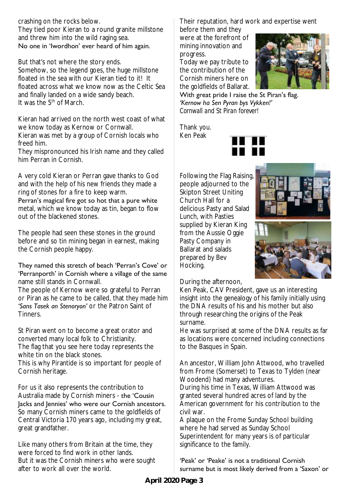## crashing on the rocks below.

They tied poor Kieran to a round granite millstone and threw him into the wild raging sea. No one in 'Iwordhon' ever heard of him again.

But that's not where the story ends.

Somehow, so the legend goes, the huge millstone floated in the sea with our Kieran tied to it! It floated across what we know now as the Celtic Sea and finally landed on a wide sandy beach. It was the  $5<sup>th</sup>$  of March.

Kieran had arrived on the north west coast of what we know today as Kernow or Cornwall. Kieran was met by a group of Cornish locals who freed him.

They mispronounced his Irish name and they called him Perran in Cornish.

A very cold Kieran or Perran gave thanks to God and with the help of his new friends they made a ring of stones for a fire to keep warm.

Perran's magical fire got so hot that a pure white metal, which we know today as tin, began to flow out of the blackened stones.

The people had seen these stones in the ground before and so tin mining began in earnest, making the Cornish people happy.

#### They named this stretch of beach 'Perran's Cove' or 'Perranporth' in Cornish where a village of the same name still stands in Cornwall.

The people of Kernow were so grateful to Perran or Piran as he came to be called, that they made him 'Sans Tasek an Stenoryon' or the Patron Saint of Tinners.

St Piran went on to become a great orator and converted many local folk to Christianity. The flag that you see here today represents the white tin on the black stones. This is why Pirantide is so important for people of

Cornish heritage.

For us it also represents the contribution to Australia made by Cornish miners - the 'Cousin Jacks and Jennies' who were our Cornish ancestors. So many Cornish miners came to the goldfields of Central Victoria 170 years ago, including my great, great grandfather.

Like many others from Britain at the time, they were forced to find work in other lands. But it was the Cornish miners who were sought after to work all over the world.

Their reputation, hard work and expertise went before them and they

were at the forefront of mining innovation and progress.

Today we pay tribute to the contribution of the Cornish miners here on the goldfields of Ballarat.



With great pride I raise the St Piran's flag. *'Kernow ha Sen Pyran bys Vykken!'* 

*Cornwall and St Piran forever!* 

Thank you. Ken Peak



Following the Flag Raising, people adjourned to the Skipton Street Uniting Church Hall for a delicious Pasty and Salad Lunch, with Pasties supplied by Kieran King from the Aussie Oggie Pasty Company in Ballarat and salads prepared by Bev Hocking.





During the afternoon,

Ken Peak, CAV President, gave us an interesting insight into the genealogy of his family initially using the DNA results of his and his mother but also through researching the origins of the Peak surname.

He was surprised at some of the DNA results as far as locations were concerned including connections to the Basques in Spain.

An ancestor, William John Attwood, who travelled from Frome (Somerset) to Texas to Tylden (near Woodend) had many adventures.

During his time in Texas, William Attwood was granted several hundred acres of land by the American government for his contribution to the civil war.

A plaque on the Frome Sunday School building where he had served as Sunday School Superintendent for many years is of particular significance to the family.

#### 'Peak' or 'Peake' is not a traditional Cornish surname but is most likely derived from a 'Saxon' or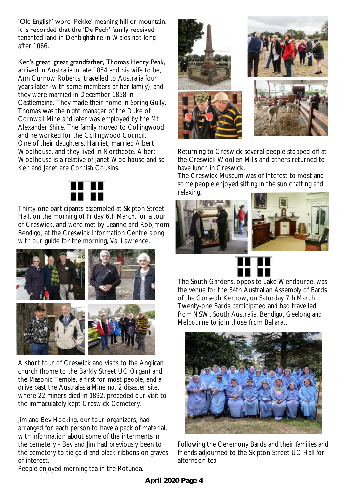'Old English' word 'Pekke' meaning hill or mountain. It is recorded that the 'De Pech' family received tenanted land in Denbighshire in Wales not long after 1066.

Ken's great, great grandfather, Thomas Henry Peak, arrived in Australia in late 1854 and his wife to be, Ann Curnow Roberts, travelled to Australia four years later (with some members of her family), and they were married in December 1858 in Castlemaine. They made their home in Spring Gully. Thomas was the night manager of the Duke of Cornwall Mine and later was employed by the Mt Alexander Shire. The family moved to Collingwood and he worked for the Collingwood Council. One of their daughters, Harriet, married Albert Woolhouse, and they lived in Northcote. Albert Woolhouse is a relative of Janet Woolhouse and so Ken and Janet are Cornish Cousins.



Thirty-one participants assembled at Skipton Street Hall, on the morning of Friday 6th March, for a tour of Creswick, and were met by Leanne and Rob, from Bendigo, at the Creswick Information Centre along with our guide for the morning, Val Lawrence.



A short tour of Creswick and visits to the Anglican church (home to the Barkly Street UC Organ) and the Masonic Temple, a first for most people, and a drive past the Australasia Mine no. 2 disaster site, where 22 miners died in 1892, preceded our visit to the immaculately kept Creswick Cemetery.

Jim and Bev Hocking, our tour organizers, had arranged for each person to have a pack of material, with information about some of the interments in the cemetery - Bev and Jim had previously been to the cemetery to tie gold and black ribbons on graves of interest.

People enjoyed morning tea in the Rotunda.



Returning to Creswick several people stopped off at the Creswick Woollen Mills and others returned to have lunch in Creswick.

The Creswick Museum was of interest to most and some people enjoyed sitting in the sun chatting and relaxing.







The South Gardens, opposite Lake Wendouree, was the venue for the 34th Australian Assembly of Bards of the Gorsedh Kernow, on Saturday 7th March. Twenty-one Bards participated and had travelled from NSW, South Australia, Bendigo, Geelong and Melbourne to join those from Ballarat.



Following the Ceremony Bards and their families and friends adjourned to the Skipton Street UC Hall for afternoon tea.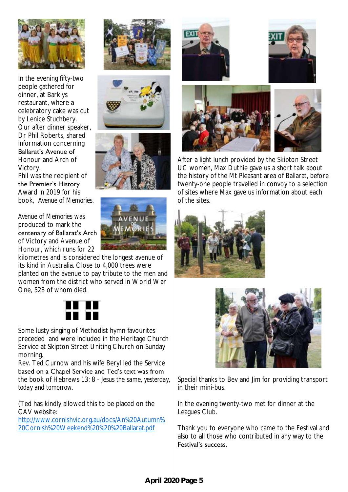

In the evening fifty-two people gathered for dinner, at Barklys restaurant, where a celebratory cake was cut by Lenice Stuchbery. Our after dinner speaker, Dr Phil Roberts, shared information concerning

#### Ballarat's Avenue of Honour and Arch of Victory. Phil was the recipient of the Premier's History

Award in 2019 for his book, *Avenue of Memories.* 

#### *Avenue of Memories* was produced to mark the centenary of Ballarat's Arch of Victory and Avenue of Honour, which runs for 22

kilometres and is considered the longest avenue of its kind in Australia. Close to 4,000 trees were planted on the avenue to pay tribute to the men and women from the district who served in World War One, 528 of whom died.



Some lusty singing of Methodist hymn favourites preceded and were included in the Heritage Church Service at Skipton Street Uniting Church on Sunday morning.

Rev. Ted Curnow and his wife Beryl led the Service based on a Chapel Service and Ted's text was from the book of Hebrews 13: 8 - *Jesus the same, yesterday, today and tomorrow.*

(Ted has kindly allowed this to be placed on the CAV website:

[http://www.cornishvic.org.au/docs/An%20Autumn%](http://www.cornishvic.org.au/docs/An%20Autumn%20Cornish%20Weekend%20%20%20Ballarat.pdf) [20Cornish%20Weekend%20%20%20Ballarat.pdf](http://www.cornishvic.org.au/docs/An%20Autumn%20Cornish%20Weekend%20%20%20Ballarat.pdf)















After a light lunch provided by the Skipton Street UC women, Max Duthie gave us a short talk about the history of the Mt Pleasant area of Ballarat, before twenty-one people travelled in convoy to a selection of sites where Max gave us information about each of the sites.





Special thanks to Bev and Jim for providing transport in their mini-bus.

In the evening twenty-two met for dinner at the Leagues Club.

Thank you to everyone who came to the Festival and also to all those who contributed in any way to the Festival's success.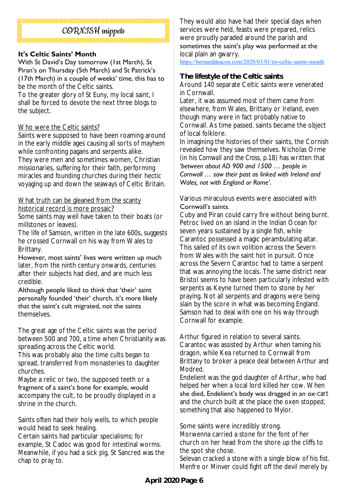## CORNISH snippets

#### **It's Celtic Saints' Month**

With St David's Day tomorrow (1st March), St Piran's on Thursday (5th March) and St Patrick's (17th March) in a couple of weeks' time, this has to be the month of the Celtic saints.

To the greater glory of St Euny, my local saint, I shall be forced to devote the next three blogs to the subject.

#### Who were the Celtic saints?

Saints were supposed to have been roaming around in the early middle ages causing all sorts of mayhem while confronting pagans and serpents alike. They were men and sometimes women, Christian missionaries, suffering for their faith, performing miracles and founding churches during their hectic voyaging up and down the seaways of Celtic Britain.

#### What truth can be gleaned from the scanty historical record is more prosaic?

Some saints may well have taken to their boats (or millstones or leaves).

The life of Samson, written in the late 600s, suggests he crossed Cornwall on his way from Wales to Brittany.

However, most saints' lives were written up much later, from the ninth century onwards, centuries after their subjects had died, and are much less credible.

Although people liked to think that 'their' saint personally founded 'their' church, it's more likely that the saint's cult migrated, not the saints themselves.

The great age of the Celtic saints was the period between 500 and 700, a time when Christianity was spreading across the Celtic world.

This was probably also the time cults began to spread, transferred from monasteries to daughter churches.

Maybe a relic or two, the supposed teeth or a fragment of a saint's bone for example, would accompany the cult, to be proudly displayed in a shrine in the church.

Saints often had their holy wells, to which people would head to seek healing.

Certain saints had particular specialisms; for example, St Cadoc was good for intestinal worms. Meanwhile, if you had a sick pig, St Sancred was the chap to pray to.

They would also have had their special days when services were held, feasts were prepared, relics were proudly paraded around the parish and sometimes the saint's play was performed at the local plain an gwarry.

<https://bernarddeacon.com/2020/03/01/its-celtic-saints-month>

#### **The lifestyle of the Celtic saints**

Around 140 separate Celtic saints were venerated in Cornwall.

Later, it was assumed most of them came from elsewhere, from Wales, Brittany or Ireland, even though many were in fact probably native to Cornwall. As time passed, saints became the object of local folklore.

In imagining the histories of their saints, the Cornish revealed how they saw themselves. Nicholas Orme (in his *Cornwall and the Cross*, p.18) has written that *'between about AD 900 and 1500 … people in Cornwall … saw their past as linked with Ireland and Wales, not with England or Rome'*.

Various miraculous events were associated with Cornwall's saints.

Cuby and Piran could carry fire without being burnt. Petroc lived on an island in the Indian Ocean for seven years sustained by a single fish, while Carantoc possessed a magic perambulating altar. This sailed of its own volition across the Severn from Wales with the saint hot in pursuit. Once across the Severn Carantoc had to tame a serpent that was annoying the locals. The same district near Bristol seems to have been particularly infested with serpents as Keyne turned them to stone by her praying. Not all serpents and dragons were being slain by the score in what was becoming England. Samson had to deal with one on his way through Cornwall for example.

Arthur figured in relation to several saints. Carantoc was assisted by Arthur when taming his dragon, while Kea returned to Cornwall from Brittany to broker a peace deal between Arthur and Modred.

Endelient was the god daughter of Arthur, who had helped her when a local lord killed her cow. When she died, Endelient's body was dragged in an ox-cart and the church built at the place the oxen stopped, something that also happened to Mylor.

Some saints were incredibly strong.

Morwenna carried a stone for the font of her church on her head from the shore up the cliffs to the spot she chose.

Selevan cracked a stone with a single blow of his fist. Menfre or Minver could fight off the devil merely by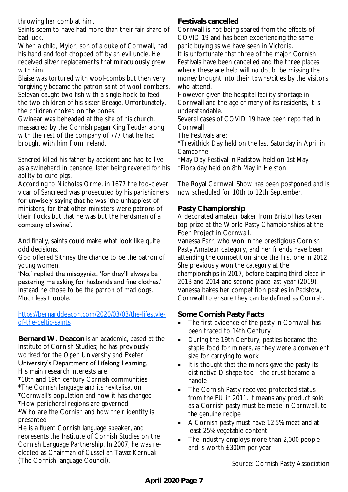throwing her comb at him.

Saints seem to have had more than their fair share of bad luck.

When a child, Mylor, son of a duke of Cornwall, had his hand and foot chopped off by an evil uncle. He received silver replacements that miraculously grew with him.

Blaise was tortured with wool-combs but then very forgivingly became the patron saint of wool-combers. Selevan caught two fish with a single hook to feed the two children of his sister Breage. Unfortunately, the children choked on the bones.

Gwinear was beheaded at the site of his church, massacred by the Cornish pagan King Teudar along with the rest of the company of 777 that he had brought with him from Ireland.

Sancred killed his father by accident and had to live as a swineherd in penance, later being revered for his ability to cure pigs.

According to Nicholas Orme, in 1677 the too-clever vicar of Sancreed was prosecuted by his parishioners

for unwisely saying that he was 'the unhappiest of ministers, for that other ministers were patrons of their flocks but that he was but the herdsman of a company of swine'.

And finally, saints could make what look like quite odd decisions.

God offered Sithney the chance to be the patron of young women.

'No,' replied the misogynist, 'for they'll always be pestering me asking for husbands and fine clothes.' Instead he chose to be the patron of mad dogs. Much less trouble.

## [https://bernarddeacon.com/2020/03/03/the-lifestyle](https://bernarddeacon.com/2020/03/03/the-lifestyle-of-the-celtic-saints)[of-the-celtic-saints](https://bernarddeacon.com/2020/03/03/the-lifestyle-of-the-celtic-saints)

**Bernard W. Deacon** is an academic, based at the Institute of Cornish Studies; he has previously worked for the Open University and Exeter University's Department of Lifelong Learning. His main research interests are:

- \*18th and 19th century Cornish communities
- \*The Cornish language and its revitalisation \*Cornwall's population and how it has changed
- \*How peripheral regions are governed

\*Who are the Cornish and how their identity is presented

He is a fluent Cornish language speaker, and represents the Institute of Cornish Studies on the Cornish Language Partnership. In 2007, he was reelected as Chairman of Cussel an Tavaz Kernuak (The Cornish language Council).

**Festivals cancelled**

Cornwall is not being spared from the effects of COVID 19 and has been experiencing the same panic buying as we have seen in Victoria.

It is unfortunate that three of the major Cornish Festivals have been cancelled and the three places where these are held will no doubt be missing the money brought into their towns/cities by the visitors who attend.

However given the hospital facility shortage in Cornwall and the age of many of its residents, it is understandable.

Several cases of COVID 19 have been reported in Cornwall

The Festivals are:

\*Trevithick Day held on the last Saturday in April in Camborne

\*May Day Festival in Padstow held on 1st May \*Flora day held on 8th May in Helston

The Royal Cornwall Show has been postponed and is now scheduled for 10th to 12th September.

## **Pasty Championship**

A decorated amateur baker from Bristol has taken top prize at the World Pasty Championships at the Eden Project in Cornwall.

Vanessa Farr, who won in the prestigious Cornish Pasty Amateur category, and her friends have been attending the competition since the first one in 2012. She previously won the category at the championships in 2017, before bagging third place in 2013 and 2014 and second place last year (2019). Vanessa bakes her competition pasties in Padstow, Cornwall to ensure they can be defined as Cornish.

**Some Cornish Pasty Facts**

- The first evidence of the pasty in Cornwall has been traced to 14th Century
- During the 19th Century, pasties became the staple food for miners, as they were a convenient size for carrying to work
- It is thought that the miners gave the pasty its distinctive D shape too - the crust became a handle
- The Cornish Pasty received protected status from the EU in 2011. It means any product sold as a Cornish pasty must be made in Cornwall, to the genuine recipe
- A Cornish pasty must have 12.5% meat and at least 25% vegetable content
- The industry employs more than 2,000 people and is worth £300m per year

Source: Cornish Pasty Association